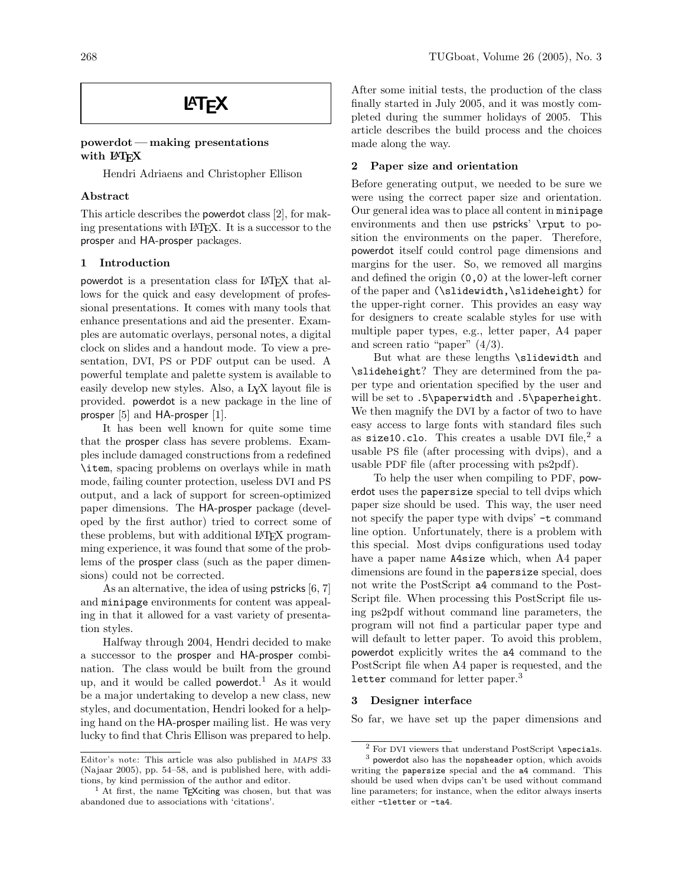# **LAT<sub>E</sub>X**

### powerdot— making presentations with LAT<sub>EX</sub>

Hendri Adriaens and Christopher Ellison

## Abstract

This article describes the powerdot class [2], for making presentations with L<sup>A</sup>TEX. It is a successor to the prosper and HA-prosper packages.

## 1 Introduction

powerdot is a presentation class for L<sup>A</sup>TEX that allows for the quick and easy development of professional presentations. It comes with many tools that enhance presentations and aid the presenter. Examples are automatic overlays, personal notes, a digital clock on slides and a handout mode. To view a presentation, DVI, PS or PDF output can be used. A powerful template and palette system is available to easily develop new styles. Also, a LYX layout file is provided. powerdot is a new package in the line of prosper [5] and HA-prosper [1].

It has been well known for quite some time that the prosper class has severe problems. Examples include damaged constructions from a redefined \item, spacing problems on overlays while in math mode, failing counter protection, useless DVI and PS output, and a lack of support for screen-optimized paper dimensions. The HA-prosper package (developed by the first author) tried to correct some of these problems, but with additional LAT<sub>EX</sub> programming experience, it was found that some of the problems of the prosper class (such as the paper dimensions) could not be corrected.

As an alternative, the idea of using pstricks [6, 7] and minipage environments for content was appealing in that it allowed for a vast variety of presentation styles.

Halfway through 2004, Hendri decided to make a successor to the prosper and HA-prosper combination. The class would be built from the ground up, and it would be called powerdot. <sup>1</sup> As it would be a major undertaking to develop a new class, new styles, and documentation, Hendri looked for a helping hand on the HA-prosper mailing list. He was very lucky to find that Chris Ellison was prepared to help.

After some initial tests, the production of the class finally started in July 2005, and it was mostly completed during the summer holidays of 2005. This article describes the build process and the choices made along the way.

## 2 Paper size and orientation

Before generating output, we needed to be sure we were using the correct paper size and orientation. Our general idea was to place all content in minipage environments and then use **pstricks** \rput to position the environments on the paper. Therefore, powerdot itself could control page dimensions and margins for the user. So, we removed all margins and defined the origin (0,0) at the lower-left corner of the paper and (\slidewidth,\slideheight) for the upper-right corner. This provides an easy way for designers to create scalable styles for use with multiple paper types, e.g., letter paper, A4 paper and screen ratio "paper"  $(4/3)$ .

But what are these lengths \slidewidth and \slideheight? They are determined from the paper type and orientation specified by the user and will be set to .5\paperwidth and .5\paperheight. We then magnify the DVI by a factor of two to have easy access to large fonts with standard files such as size10.clo. This creates a usable DVI file, $^2$  a usable PS file (after processing with dvips), and a usable PDF file (after processing with ps2pdf).

To help the user when compiling to PDF, powerdot uses the papersize special to tell dvips which paper size should be used. This way, the user need not specify the paper type with dvips' -t command line option. Unfortunately, there is a problem with this special. Most dvips configurations used today have a paper name A4size which, when A4 paper dimensions are found in the papersize special, does not write the PostScript a4 command to the Post-Script file. When processing this PostScript file using ps2pdf without command line parameters, the program will not find a particular paper type and will default to letter paper. To avoid this problem, powerdot explicitly writes the a4 command to the PostScript file when A4 paper is requested, and the letter command for letter paper.<sup>3</sup>

## 3 Designer interface

So far, we have set up the paper dimensions and

Editor's note: This article was also published in MAPS 33 (Najaar 2005), pp. 54–58, and is published here, with additions, by kind permission of the author and editor.

<sup>&</sup>lt;sup>1</sup> At first, the name  $TFX$ citing was chosen, but that was abandoned due to associations with 'citations'.

 $^2$  For DVI viewers that understand PostScript \specials.

<sup>3</sup> powerdot also has the nopsheader option, which avoids writing the papersize special and the a4 command. This should be used when dvips can't be used without command line parameters; for instance, when the editor always inserts either -tletter or -ta4.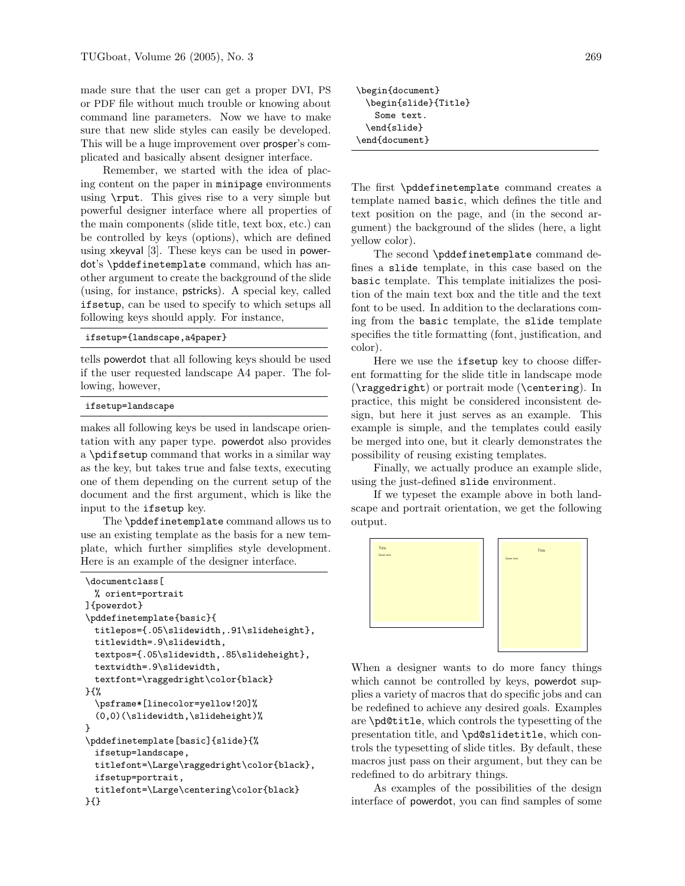made sure that the user can get a proper DVI, PS or PDF file without much trouble or knowing about command line parameters. Now we have to make sure that new slide styles can easily be developed. This will be a huge improvement over prosper's complicated and basically absent designer interface.

Remember, we started with the idea of placing content on the paper in minipage environments using \rput. This gives rise to a very simple but powerful designer interface where all properties of the main components (slide title, text box, etc.) can be controlled by keys (options), which are defined using xkeyval [3]. These keys can be used in powerdot's \pddefinetemplate command, which has another argument to create the background of the slide (using, for instance, pstricks). A special key, called ifsetup, can be used to specify to which setups all following keys should apply. For instance,

```
ifsetup={landscape,a4paper}
```
tells powerdot that all following keys should be used if the user requested landscape A4 paper. The following, however,

ifsetup=landscape

makes all following keys be used in landscape orientation with any paper type. powerdot also provides a \pdifsetup command that works in a similar way as the key, but takes true and false texts, executing one of them depending on the current setup of the document and the first argument, which is like the input to the ifsetup key.

The \pddefinetemplate command allows us to use an existing template as the basis for a new template, which further simplifies style development. Here is an example of the designer interface.

```
\documentclass[
 % orient=portrait
]{powerdot}
\pddefinetemplate{basic}{
  titlepos={.05\slidewidth,.91\slideheight},
 titlewidth=.9\slidewidth,
 textpos={.05\slidewidth,.85\slideheight},
  textwidth=.9\slidewidth,
  textfont=\raggedright\color{black}
}{%
  \psframe*[linecolor=yellow!20]%
  (0,0)(\slidewidth,\slideheight)%
}
\pddefinetemplate[basic]{slide}{%
  ifsetup=landscape,
 titlefont=\Large\raggedright\color{black},
 ifsetup=portrait,
  titlefont=\Large\centering\color{black}
}{}
```
\begin{document} \begin{slide}{Title} Some text. \end{slide} \end{document}

The first \pddefinetemplate command creates a template named basic, which defines the title and text position on the page, and (in the second argument) the background of the slides (here, a light yellow color).

The second \pddefinetemplate command defines a slide template, in this case based on the basic template. This template initializes the position of the main text box and the title and the text font to be used. In addition to the declarations coming from the basic template, the slide template specifies the title formatting (font, justification, and color).

Here we use the ifsetup key to choose different formatting for the slide title in landscape mode (\raggedright) or portrait mode (\centering). In practice, this might be considered inconsistent design, but here it just serves as an example. This example is simple, and the templates could easily be merged into one, but it clearly demonstrates the possibility of reusing existing templates.

Finally, we actually produce an example slide, using the just-defined slide environment.

If we typeset the example above in both landscape and portrait orientation, we get the following output.



When a designer wants to do more fancy things which cannot be controlled by keys, powerdot supplies a variety of macros that do specific jobs and can be redefined to achieve any desired goals. Examples are \pd@title, which controls the typesetting of the presentation title, and \pd@slidetitle, which controls the typesetting of slide titles. By default, these macros just pass on their argument, but they can be redefined to do arbitrary things.

As examples of the possibilities of the design interface of powerdot, you can find samples of some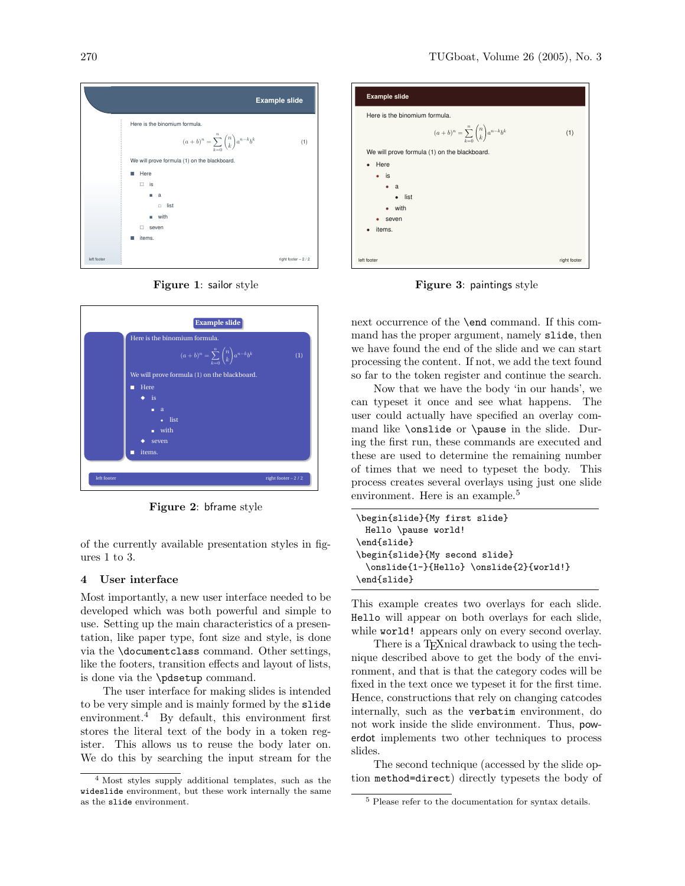

<span id="page-2-0"></span>Figure 1: sailor style



Figure 2: bframe style

of the currently available presentation styles in figures 1 to 3.

# 4 User interface

Most importantly, a new user interface needed to be developed which was both powerful and simple to use. Setting up the main characteristics of a presentation, like paper type, font size and style, is done via the \documentclass command. Other settings, like the footers, transition effects and layout of lists, is done via the \pdsetup command.

The user interface for making slides is intended to be very simple and is mainly formed by the slide environment.<sup>4</sup> By default, this environment first stores the literal text of the body in a token register. This allows us to reuse the body later on. We do this by searching the input stream for the



Figure 3: paintings style

next occurrence of the \end command. If this command has the proper argument, namely slide, then we have found the end of the slide and we can start processing the content. If not, we add the text found so far to the token register and continue the search.

Now that we have the body 'in our hands', we can typeset it once and see what happens. The user could actually have specified an overlay command like \onslide or \pause in the slide. During the first run, these commands are executed and these are used to determine the remaining number of times that we need to typeset the body. This process creates several overlays using just one slide environment. Here is an example.<sup>5</sup>

```
\begin{slide}{My first slide}
 Hello \pause world!
\end{slide}
\begin{slide}{My second slide}
 \onslide{1-}{Hello} \onslide{2}{world!}
\end{slide}
```
This example creates two overlays for each slide. Hello will appear on both overlays for each slide, while **world!** appears only on every second overlay.

There is a T<sub>E</sub>Xnical drawback to using the technique described above to get the body of the environment, and that is that the category codes will be fixed in the text once we typeset it for the first time. Hence, constructions that rely on changing catcodes internally, such as the verbatim environment, do not work inside the slide environment. Thus, powerdot implements two other techniques to process slides.

The second technique (accessed by the slide option method=direct) directly typesets the body of

<sup>4</sup> Most styles supply additional templates, such as the wideslide environment, but these work internally the same as the slide environment.

<sup>5</sup> Please refer to the documentation for syntax details.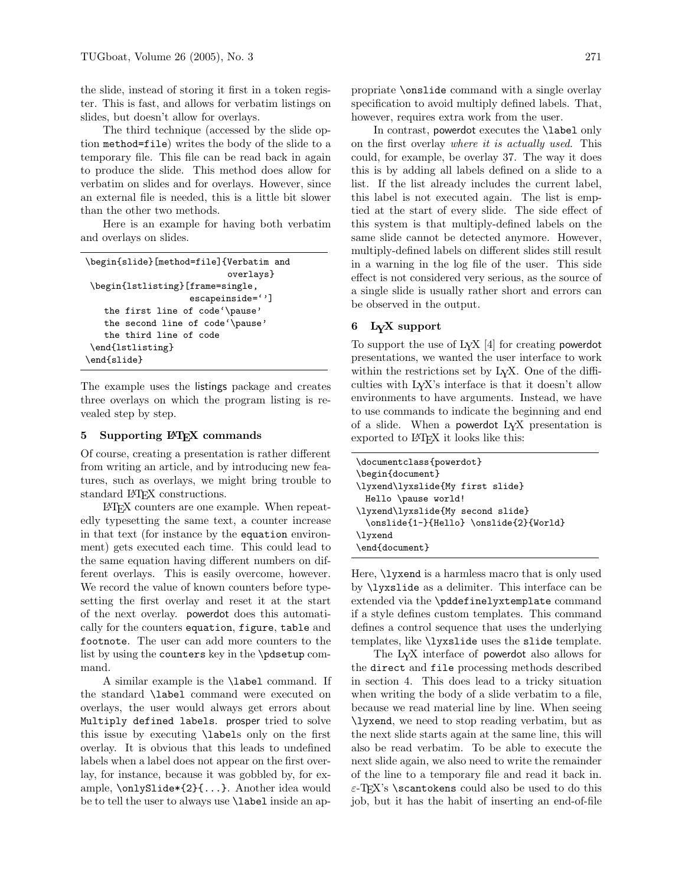the slide, instead of storing it first in a token register. This is fast, and allows for verbatim listings on slides, but doesn't allow for overlays.

The third technique (accessed by the slide option method=file) writes the body of the slide to a temporary file. This file can be read back in again to produce the slide. This method does allow for verbatim on slides and for overlays. However, since an external file is needed, this is a little bit slower than the other two methods.

Here is an example for having both verbatim and overlays on slides.

```
\begin{slide}[method=file]{Verbatim and
                           overlays}
\begin{lstlisting}[frame=single,
                    escapeinside='']
   the first line of code'\pause'
   the second line of code'\pause'
   the third line of code
\end{lstlisting}
\end{slide}
```
The example uses the listings package and creates three overlays on which the program listing is revealed step by step.

#### 5 Supporting LATEX commands

Of course, creating a presentation is rather different from writing an article, and by introducing new features, such as overlays, we might bring trouble to standard LAT<sub>F</sub>X constructions.

L<sup>A</sup>TEX counters are one example. When repeatedly typesetting the same text, a counter increase in that text (for instance by the equation environment) gets executed each time. This could lead to the same equation having different numbers on different overlays. This is easily overcome, however. We record the value of known counters before typesetting the first overlay and reset it at the start of the next overlay. powerdot does this automatically for the counters equation, figure, table and footnote. The user can add more counters to the list by using the counters key in the \pdsetup command.

A similar example is the \label command. If the standard \label command were executed on overlays, the user would always get errors about Multiply defined labels. prosper tried to solve this issue by executing \labels only on the first overlay. It is obvious that this leads to undefined labels when a label does not appear on the first overlay, for instance, because it was gobbled by, for example, \onlySlide\*{2}{...}. Another idea would be to tell the user to always use \label inside an appropriate \onslide command with a single overlay specification to avoid multiply defined labels. That, however, requires extra work from the user.

In contrast, powerdot executes the \label only on the first overlay where it is actually used. This could, for example, be overlay 37. The way it does this is by adding all labels defined on a slide to a list. If the list already includes the current label, this label is not executed again. The list is emptied at the start of every slide. The side effect of this system is that multiply-defined labels on the same slide cannot be detected anymore. However, multiply-defined labels on different slides still result in a warning in the log file of the user. This side effect is not considered very serious, as the source of a single slide is usually rather short and errors can be observed in the output.

#### 6 LYX support

To support the use of  $L<sub>Y</sub>X$  [4] for creating **powerdot** presentations, we wanted the user interface to work within the restrictions set by L<sub>Y</sub>X. One of the difficulties with LYX's interface is that it doesn't allow environments to have arguments. Instead, we have to use commands to indicate the beginning and end of a slide. When a powerdot  $LyX$  presentation is exported to L<sup>AT</sup>FX it looks like this:

Here, **\lyxend** is a harmless macro that is only used by \lyxslide as a delimiter. This interface can be extended via the \pddefinelyxtemplate command if a style defines custom templates. This command defines a control sequence that uses the underlying templates, like \lyxslide uses the slide template.

The LYX interface of powerdot also allows for the direct and file processing methods described in section 4. This does lead to a tricky situation when writing the body of a slide verbatim to a file, because we read material line by line. When seeing \lyxend, we need to stop reading verbatim, but as the next slide starts again at the same line, this will also be read verbatim. To be able to execute the next slide again, we also need to write the remainder of the line to a temporary file and read it back in.  $\varepsilon$ -T<sub>E</sub>X's \scantokens could also be used to do this job, but it has the habit of inserting an end-of-file